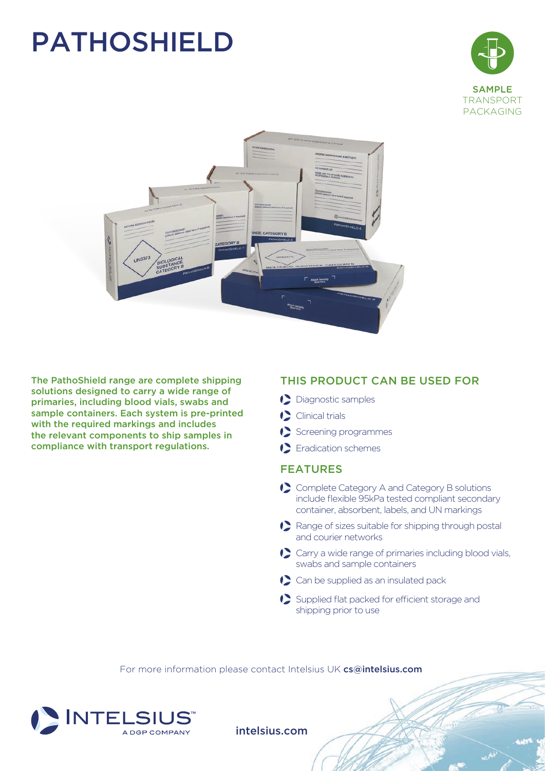## PATHOSHIELD





The PathoShield range are complete shipping solutions designed to carry a wide range of primaries, including blood vials, swabs and sample containers. Each system is pre-printed with the required markings and includes the relevant components to ship samples in compliance with transport regulations.

### THIS PRODUCT CAN BE USED FOR

- Diagnostic samples
- Clinical trials
- Screening programmes
- Eradication schemes

#### FEATURES

- ◆ Complete Category A and Category B solutions include flexible 95kPa tested compliant secondary container, absorbent, labels, and UN markings
- Range of sizes suitable for shipping through postal and courier networks
- Carry a wide range of primaries including blood vials, swabs and sample containers
- ◆ Can be supplied as an insulated pack
- Supplied flat packed for efficient storage and shipping prior to use

For more information please contact Intelsius UK cs@intelsius.com



intelsius.com